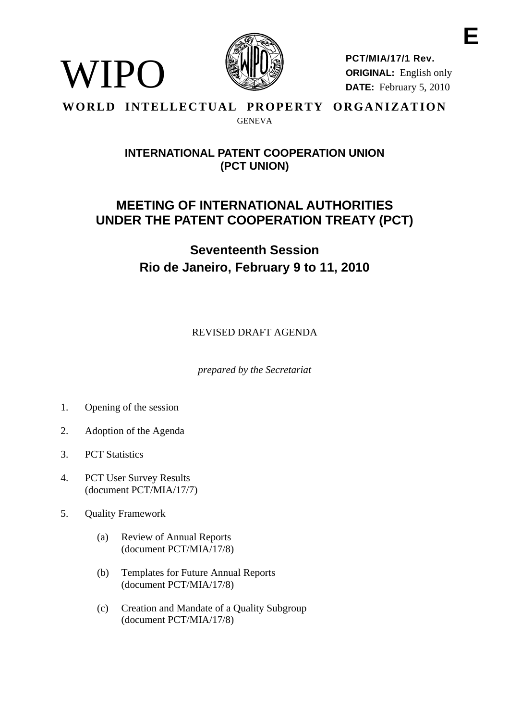

**PCT/MIA/17/1 Rev. ORIGINAL:** English only **DATE:** February 5, 2010

#### **WORLD INTELLECTUAL PROPERTY ORGANIZATION GENEVA**

### **INTERNATIONAL PATENT COOPERATION UNION (PCT UNION)**

## **MEETING OF INTERNATIONAL AUTHORITIES UNDER THE PATENT COOPERATION TREATY (PCT)**

# **Seventeenth Session Rio de Janeiro, February 9 to 11, 2010**

REVISED DRAFT AGENDA

*prepared by the Secretariat* 

1. Opening of the session

WIPO

- 2. Adoption of the Agenda
- 3. PCT Statistics
- 4. PCT User Survey Results (document PCT/MIA/17/7)
- 5. Quality Framework
	- (a) Review of Annual Reports (document PCT/MIA/17/8)
	- (b) Templates for Future Annual Reports (document PCT/MIA/17/8)
	- (c) Creation and Mandate of a Quality Subgroup (document PCT/MIA/17/8)